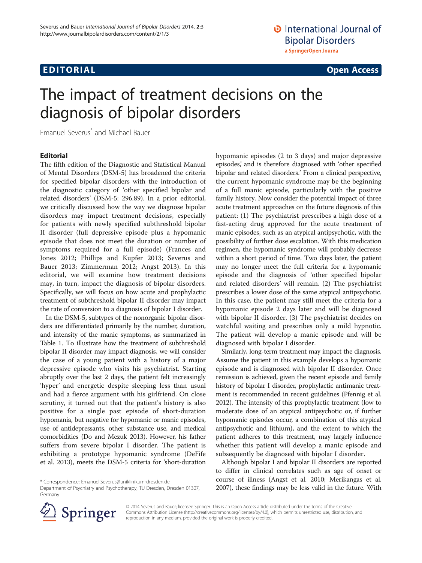## **EDITORIAL** CONTROL CONTROL CONTROL CONTROL CONTROL CONTROL CONTROL CONTROL CONTROL CONTROL CONTROL CONTROL CONTROL CONTROL CONTROL CONTROL CONTROL CONTROL CONTROL CONTROL CONTROL CONTROL CONTROL CONTROL CONTROL CONTROL CO

# The impact of treatment decisions on the diagnosis of bipolar disorders

Emanuel Severus\* and Michael Bauer

### Editorial

The fifth edition of the Diagnostic and Statistical Manual of Mental Disorders (DSM-5) has broadened the criteria for specified bipolar disorders with the introduction of the diagnostic category of 'other specified bipolar and related disorders' (DSM-5: 296.89). In a prior editorial, we critically discussed how the way we diagnose bipolar disorders may impact treatment decisions, especially for patients with newly specified subthreshold bipolar II disorder (full depressive episode plus a hypomanic episode that does not meet the duration or number of symptoms required for a full episode) (Frances and Jones [2012](#page-1-0); Phillips and Kupfer [2013](#page-1-0); Severus and Bauer [2013;](#page-1-0) Zimmerman [2012;](#page-1-0) Angst [2013\)](#page-1-0). In this editorial, we will examine how treatment decisions may, in turn, impact the diagnosis of bipolar disorders. Specifically, we will focus on how acute and prophylactic treatment of subthreshold bipolar II disorder may impact the rate of conversion to a diagnosis of bipolar I disorder.

In the DSM-5, subtypes of the nonorganic bipolar disorders are differentiated primarily by the number, duration, and intensity of the manic symptoms, as summarized in Table [1](#page-1-0). To illustrate how the treatment of subthreshold bipolar II disorder may impact diagnosis, we will consider the case of a young patient with a history of a major depressive episode who visits his psychiatrist. Starting abruptly over the last 2 days, the patient felt increasingly 'hyper' and energetic despite sleeping less than usual and had a fierce argument with his girlfriend. On close scrutiny, it turned out that the patient's history is also positive for a single past episode of short-duration hypomania, but negative for hypomanic or manic episodes, use of antidepressants, other substance use, and medical comorbidities (Do and Mezuk [2013](#page-1-0)). However, his father suffers from severe bipolar I disorder. The patient is exhibiting a prototype hypomanic syndrome (DeFife et al. [2013](#page-1-0)), meets the DSM-5 criteria for 'short-duration hypomanic episodes (2 to 3 days) and major depressive episodes,' and is therefore diagnosed with 'other specified bipolar and related disorders.' From a clinical perspective, the current hypomanic syndrome may be the beginning of a full manic episode, particularly with the positive family history. Now consider the potential impact of three acute treatment approaches on the future diagnosis of this patient: (1) The psychiatrist prescribes a high dose of a fast-acting drug approved for the acute treatment of manic episodes, such as an atypical antipsychotic, with the possibility of further dose escalation. With this medication regimen, the hypomanic syndrome will probably decrease within a short period of time. Two days later, the patient may no longer meet the full criteria for a hypomanic episode and the diagnosis of 'other specified bipolar and related disorders' will remain. (2) The psychiatrist prescribes a lower dose of the same atypical antipsychotic. In this case, the patient may still meet the criteria for a hypomanic episode 2 days later and will be diagnosed with bipolar II disorder. (3) The psychiatrist decides on watchful waiting and prescribes only a mild hypnotic. The patient will develop a manic episode and will be diagnosed with bipolar I disorder.

Similarly, long-term treatment may impact the diagnosis. Assume the patient in this example develops a hypomanic episode and is diagnosed with bipolar II disorder. Once remission is achieved, given the recent episode and family history of bipolar I disorder, prophylactic antimanic treatment is recommended in recent guidelines (Pfennig et al. [2012](#page-1-0)). The intensity of this prophylactic treatment (low to moderate dose of an atypical antipsychotic or, if further hypomanic episodes occur, a combination of this atypical antipsychotic and lithium), and the extent to which the patient adheres to this treatment, may largely influence whether this patient will develop a manic episode and subsequently be diagnosed with bipolar I disorder.

Although bipolar I and bipolar II disorders are reported to differ in clinical correlates such as age of onset or course of illness (Angst et al. [2010;](#page-1-0) Merikangas et al. [2007](#page-1-0)), these findings may be less valid in the future. With



© 2014 Severus and Bauer; licensee Springer. This is an Open Access article distributed under the terms of the Creative Commons Attribution License (<http://creativecommons.org/licenses/by/4.0>), which permits unrestricted use, distribution, and reproduction in any medium, provided the original work is properly credited.

<sup>\*</sup> Correspondence: [Emanuel.Severus@uniklinikum-dresden.de](mailto:Emanuel.Severus@uniklinikum-dresden.de)

Department of Psychiatry and Psychotherapy, TU Dresden, Dresden 01307, Germany